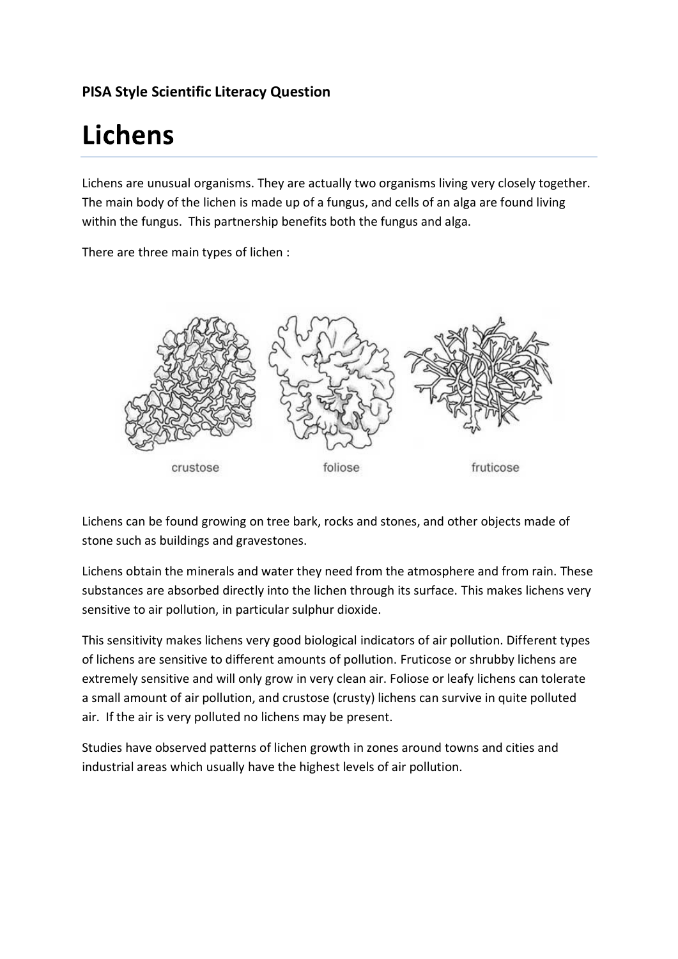## **PISA Style Scientific Literacy Question**

# **Lichens**

Lichens are unusual organisms. They are actually two organisms living very closely together. The main body of the lichen is made up of a fungus, and cells of an alga are found living within the fungus. This partnership benefits both the fungus and alga.

There are three main types of lichen :



Lichens can be found growing on tree bark, rocks and stones, and other objects made of stone such as buildings and gravestones.

Lichens obtain the minerals and water they need from the atmosphere and from rain. These substances are absorbed directly into the lichen through its surface. This makes lichens very sensitive to air pollution, in particular sulphur dioxide.

This sensitivity makes lichens very good biological indicators of air pollution. Different types of lichens are sensitive to different amounts of pollution. Fruticose or shrubby lichens are extremely sensitive and will only grow in very clean air. Foliose or leafy lichens can tolerate a small amount of air pollution, and crustose (crusty) lichens can survive in quite polluted air. If the air is very polluted no lichens may be present.

Studies have observed patterns of lichen growth in zones around towns and cities and industrial areas which usually have the highest levels of air pollution.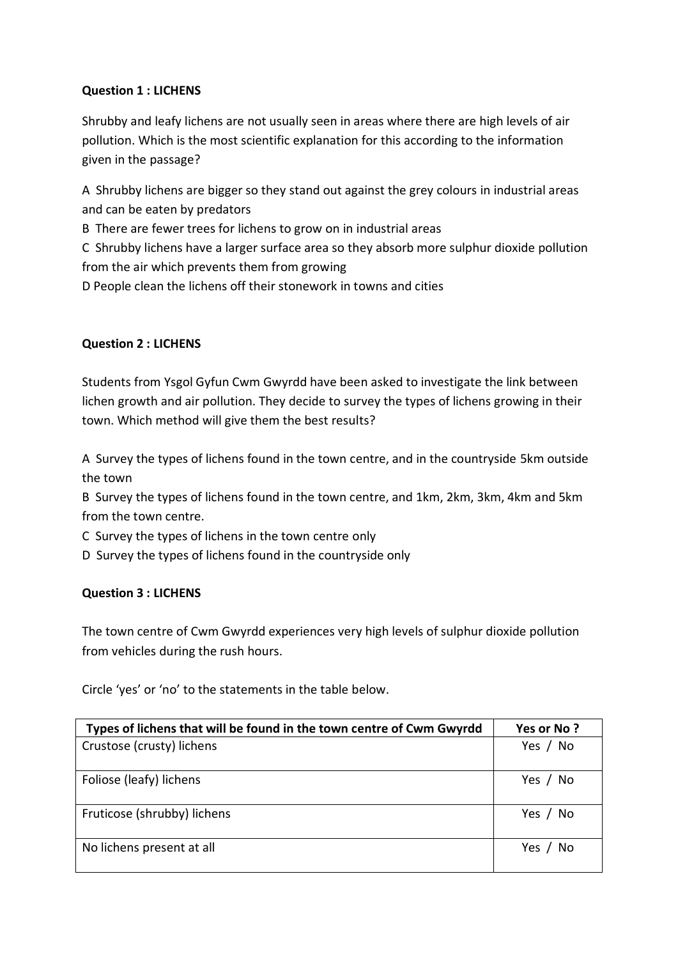## **Question 1 : LICHENS**

Shrubby and leafy lichens are not usually seen in areas where there are high levels of air pollution. Which is the most scientific explanation for this according to the information given in the passage?

A Shrubby lichens are bigger so they stand out against the grey colours in industrial areas and can be eaten by predators

B There are fewer trees for lichens to grow on in industrial areas

C Shrubby lichens have a larger surface area so they absorb more sulphur dioxide pollution from the air which prevents them from growing

D People clean the lichens off their stonework in towns and cities

## **Question 2 : LICHENS**

Students from Ysgol Gyfun Cwm Gwyrdd have been asked to investigate the link between lichen growth and air pollution. They decide to survey the types of lichens growing in their town. Which method will give them the best results?

A Survey the types of lichens found in the town centre, and in the countryside 5km outside the town

B Survey the types of lichens found in the town centre, and 1km, 2km, 3km, 4km and 5km from the town centre.

C Survey the types of lichens in the town centre only

D Survey the types of lichens found in the countryside only

## **Question 3 : LICHENS**

The town centre of Cwm Gwyrdd experiences very high levels of sulphur dioxide pollution from vehicles during the rush hours.

Circle 'yes' or 'no' to the statements in the table below.

| Types of lichens that will be found in the town centre of Cwm Gwyrdd | Yes or No?    |
|----------------------------------------------------------------------|---------------|
| Crustose (crusty) lichens                                            | Yes / No      |
| Foliose (leafy) lichens                                              | Yes / No      |
| Fruticose (shrubby) lichens                                          | Yes $/$<br>No |
| No lichens present at all                                            | Yes<br>No     |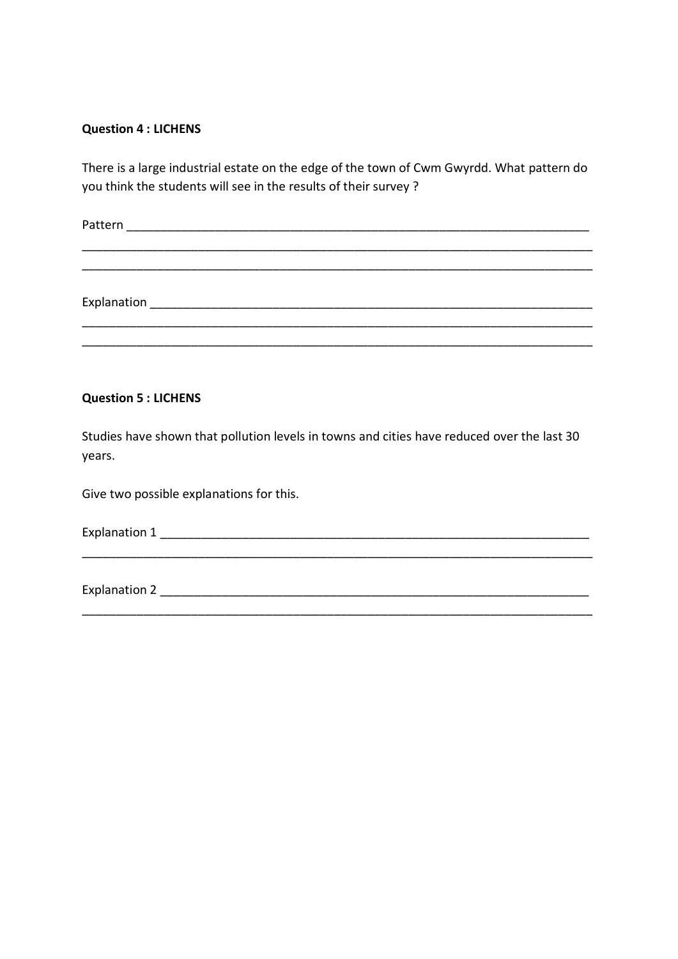#### **Question 4 : LICHENS**

There is a large industrial estate on the edge of the town of Cwm Gwyrdd. What pattern do you think the students will see in the results of their survey ?

Pattern and the set of the set of the set of the set of the set of the set of the set of the set of the set of the set of the set of the set of the set of the set of the set of the set of the set of the set of the set of t

\_\_\_\_\_\_\_\_\_\_\_\_\_\_\_\_\_\_\_\_\_\_\_\_\_\_\_\_\_\_\_\_\_\_\_\_\_\_\_\_\_\_\_\_\_\_\_\_\_\_\_\_\_\_\_\_\_\_\_\_\_\_\_\_\_\_\_\_\_\_\_\_\_\_\_

\_\_\_\_\_\_\_\_\_\_\_\_\_\_\_\_\_\_\_\_\_\_\_\_\_\_\_\_\_\_\_\_\_\_\_\_\_\_\_\_\_\_\_\_\_\_\_\_\_\_\_\_\_\_\_\_\_\_\_\_\_\_\_\_\_\_\_\_\_\_\_\_\_\_\_ \_\_\_\_\_\_\_\_\_\_\_\_\_\_\_\_\_\_\_\_\_\_\_\_\_\_\_\_\_\_\_\_\_\_\_\_\_\_\_\_\_\_\_\_\_\_\_\_\_\_\_\_\_\_\_\_\_\_\_\_\_\_\_\_\_\_\_\_\_\_\_\_\_\_\_

Explanation \_\_\_\_\_\_\_\_\_\_\_\_\_\_\_\_\_\_\_\_\_\_\_\_\_\_\_\_\_\_\_\_\_\_\_\_\_\_\_\_\_\_\_\_\_\_\_\_\_\_\_\_\_\_\_\_\_\_\_\_\_\_\_\_\_

#### **Question 5 : LICHENS**

Studies have shown that pollution levels in towns and cities have reduced over the last 30 years.

Give two possible explanations for this.

Explanation 1 \_\_\_\_\_\_\_\_\_\_\_\_\_\_\_\_\_\_\_\_\_\_\_\_\_\_\_\_\_\_\_\_\_\_\_\_\_\_\_\_\_\_\_\_\_\_\_\_\_\_\_\_\_\_\_\_\_\_\_\_\_\_\_\_\_\_\_\_\_\_\_\_\_\_\_

\_\_\_\_\_\_\_\_\_\_\_\_\_\_\_\_\_\_\_\_\_\_\_\_\_\_\_\_\_\_\_\_\_\_\_\_\_\_\_\_\_\_\_\_\_\_\_\_\_\_\_\_\_\_\_\_\_\_\_\_\_\_\_\_\_\_\_\_\_\_\_\_\_\_\_

Explanation 2 and the set of the set of the set of the set of the set of the set of the set of the set of the set of the set of the set of the set of the set of the set of the set of the set of the set of the set of the se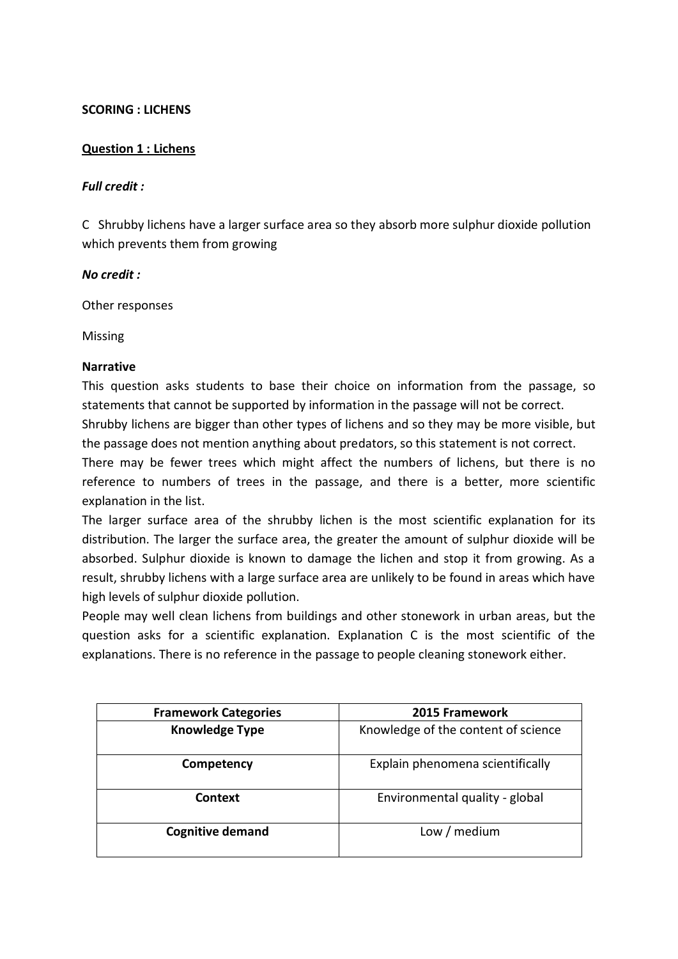#### **SCORING : LICHENS**

#### **Question 1 : Lichens**

#### *Full credit :*

C Shrubby lichens have a larger surface area so they absorb more sulphur dioxide pollution which prevents them from growing

#### *No credit :*

Other responses

Missing

#### **Narrative**

This question asks students to base their choice on information from the passage, so statements that cannot be supported by information in the passage will not be correct.

Shrubby lichens are bigger than other types of lichens and so they may be more visible, but the passage does not mention anything about predators, so this statement is not correct.

There may be fewer trees which might affect the numbers of lichens, but there is no reference to numbers of trees in the passage, and there is a better, more scientific explanation in the list.

The larger surface area of the shrubby lichen is the most scientific explanation for its distribution. The larger the surface area, the greater the amount of sulphur dioxide will be absorbed. Sulphur dioxide is known to damage the lichen and stop it from growing. As a result, shrubby lichens with a large surface area are unlikely to be found in areas which have high levels of sulphur dioxide pollution.

People may well clean lichens from buildings and other stonework in urban areas, but the question asks for a scientific explanation. Explanation C is the most scientific of the explanations. There is no reference in the passage to people cleaning stonework either.

| <b>Framework Categories</b> | 2015 Framework                      |
|-----------------------------|-------------------------------------|
| <b>Knowledge Type</b>       | Knowledge of the content of science |
| Competency                  | Explain phenomena scientifically    |
| Context                     | Environmental quality - global      |
| <b>Cognitive demand</b>     | Low / medium                        |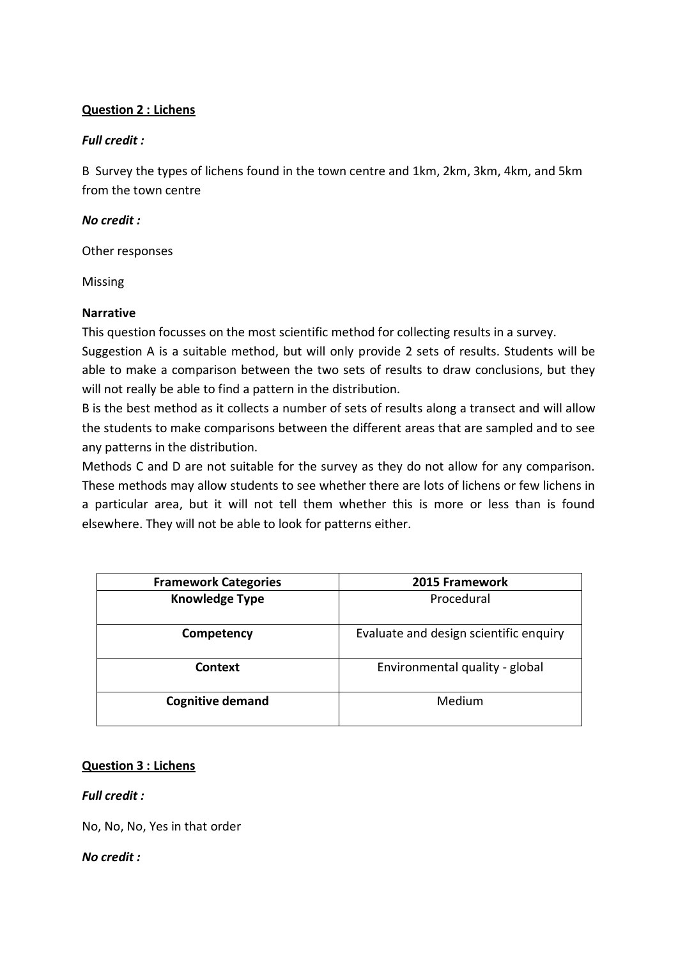## **Question 2 : Lichens**

## *Full credit :*

B Survey the types of lichens found in the town centre and 1km, 2km, 3km, 4km, and 5km from the town centre

## *No credit :*

Other responses

Missing

## **Narrative**

This question focusses on the most scientific method for collecting results in a survey.

Suggestion A is a suitable method, but will only provide 2 sets of results. Students will be able to make a comparison between the two sets of results to draw conclusions, but they will not really be able to find a pattern in the distribution.

B is the best method as it collects a number of sets of results along a transect and will allow the students to make comparisons between the different areas that are sampled and to see any patterns in the distribution.

Methods C and D are not suitable for the survey as they do not allow for any comparison. These methods may allow students to see whether there are lots of lichens or few lichens in a particular area, but it will not tell them whether this is more or less than is found elsewhere. They will not be able to look for patterns either.

| <b>Framework Categories</b> | 2015 Framework                         |
|-----------------------------|----------------------------------------|
| <b>Knowledge Type</b>       | Procedural                             |
| Competency                  | Evaluate and design scientific enquiry |
| <b>Context</b>              | Environmental quality - global         |
| <b>Cognitive demand</b>     | Medium                                 |

## **Question 3 : Lichens**

## *Full credit :*

No, No, No, Yes in that order

## *No credit :*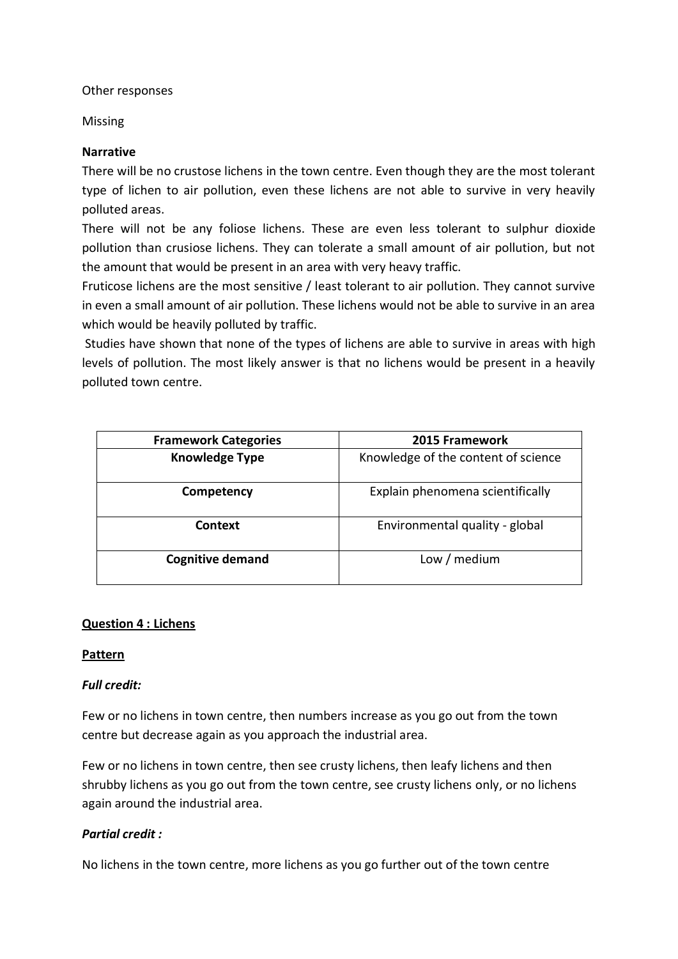Other responses

Missing

## **Narrative**

There will be no crustose lichens in the town centre. Even though they are the most tolerant type of lichen to air pollution, even these lichens are not able to survive in very heavily polluted areas.

There will not be any foliose lichens. These are even less tolerant to sulphur dioxide pollution than crusiose lichens. They can tolerate a small amount of air pollution, but not the amount that would be present in an area with very heavy traffic.

Fruticose lichens are the most sensitive / least tolerant to air pollution. They cannot survive in even a small amount of air pollution. These lichens would not be able to survive in an area which would be heavily polluted by traffic.

Studies have shown that none of the types of lichens are able to survive in areas with high levels of pollution. The most likely answer is that no lichens would be present in a heavily polluted town centre.

| <b>Framework Categories</b> | 2015 Framework                      |
|-----------------------------|-------------------------------------|
| <b>Knowledge Type</b>       | Knowledge of the content of science |
| Competency                  | Explain phenomena scientifically    |
| <b>Context</b>              | Environmental quality - global      |
| <b>Cognitive demand</b>     | Low / medium                        |

## **Question 4 : Lichens**

## **Pattern**

## *Full credit:*

Few or no lichens in town centre, then numbers increase as you go out from the town centre but decrease again as you approach the industrial area.

Few or no lichens in town centre, then see crusty lichens, then leafy lichens and then shrubby lichens as you go out from the town centre, see crusty lichens only, or no lichens again around the industrial area.

## *Partial credit :*

No lichens in the town centre, more lichens as you go further out of the town centre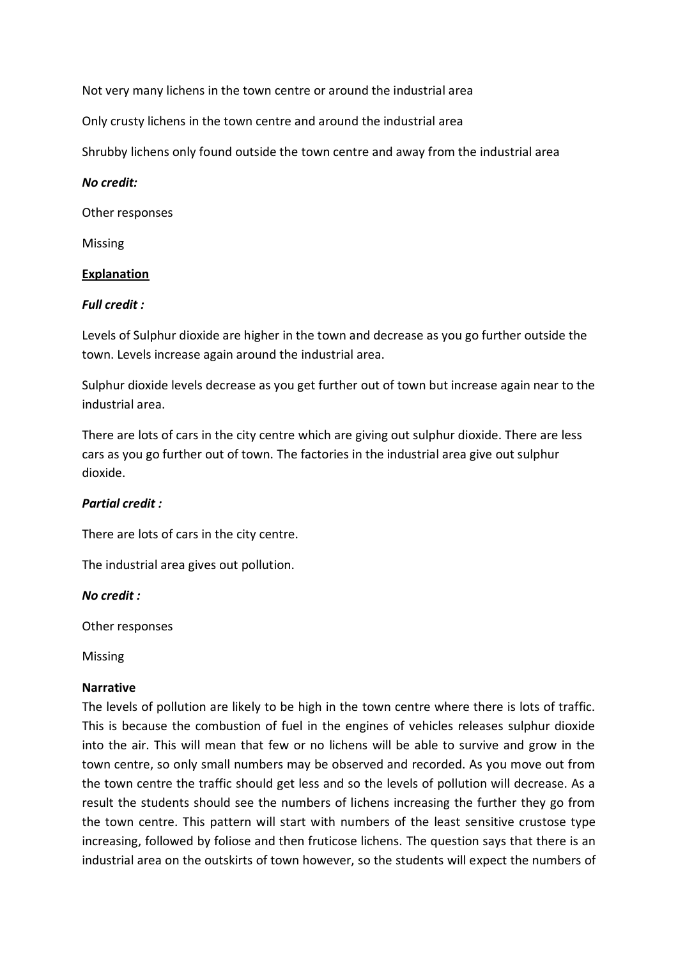Not very many lichens in the town centre or around the industrial area

Only crusty lichens in the town centre and around the industrial area

Shrubby lichens only found outside the town centre and away from the industrial area

#### *No credit:*

Other responses

Missing

#### **Explanation**

#### *Full credit :*

Levels of Sulphur dioxide are higher in the town and decrease as you go further outside the town. Levels increase again around the industrial area.

Sulphur dioxide levels decrease as you get further out of town but increase again near to the industrial area.

There are lots of cars in the city centre which are giving out sulphur dioxide. There are less cars as you go further out of town. The factories in the industrial area give out sulphur dioxide.

## *Partial credit :*

There are lots of cars in the city centre.

The industrial area gives out pollution.

*No credit :*

Other responses

Missing

#### **Narrative**

The levels of pollution are likely to be high in the town centre where there is lots of traffic. This is because the combustion of fuel in the engines of vehicles releases sulphur dioxide into the air. This will mean that few or no lichens will be able to survive and grow in the town centre, so only small numbers may be observed and recorded. As you move out from the town centre the traffic should get less and so the levels of pollution will decrease. As a result the students should see the numbers of lichens increasing the further they go from the town centre. This pattern will start with numbers of the least sensitive crustose type increasing, followed by foliose and then fruticose lichens. The question says that there is an industrial area on the outskirts of town however, so the students will expect the numbers of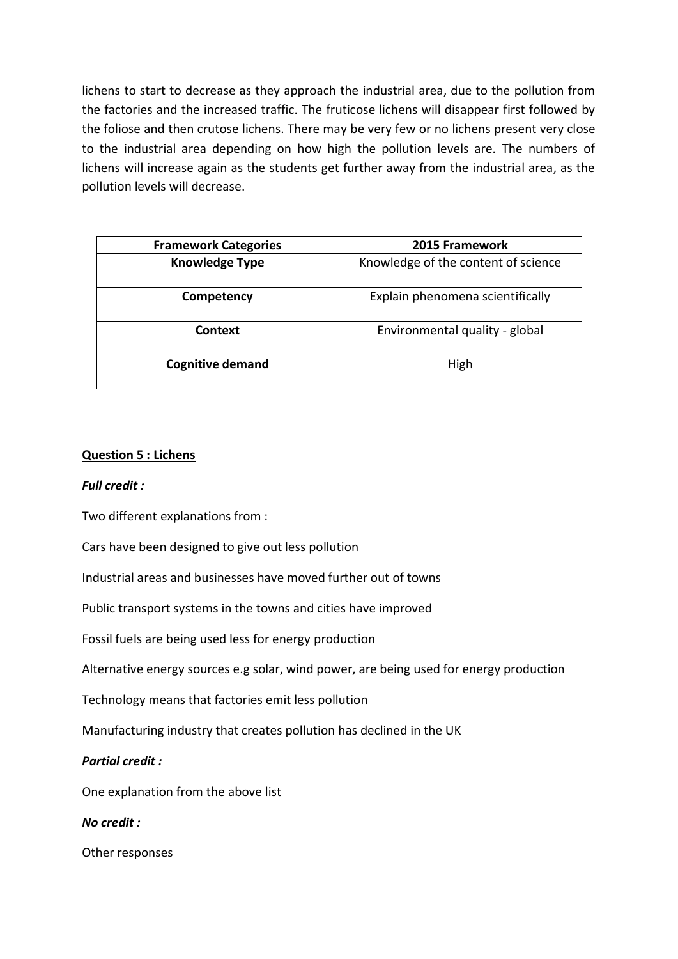lichens to start to decrease as they approach the industrial area, due to the pollution from the factories and the increased traffic. The fruticose lichens will disappear first followed by the foliose and then crutose lichens. There may be very few or no lichens present very close to the industrial area depending on how high the pollution levels are. The numbers of lichens will increase again as the students get further away from the industrial area, as the pollution levels will decrease.

| <b>Framework Categories</b> | <b>2015 Framework</b>               |
|-----------------------------|-------------------------------------|
| <b>Knowledge Type</b>       | Knowledge of the content of science |
| Competency                  | Explain phenomena scientifically    |
| <b>Context</b>              | Environmental quality - global      |
| <b>Cognitive demand</b>     | High                                |

#### **Question 5 : Lichens**

#### *Full credit :*

Two different explanations from :

Cars have been designed to give out less pollution

Industrial areas and businesses have moved further out of towns

Public transport systems in the towns and cities have improved

Fossil fuels are being used less for energy production

Alternative energy sources e.g solar, wind power, are being used for energy production

Technology means that factories emit less pollution

Manufacturing industry that creates pollution has declined in the UK

#### *Partial credit :*

One explanation from the above list

*No credit :*

Other responses